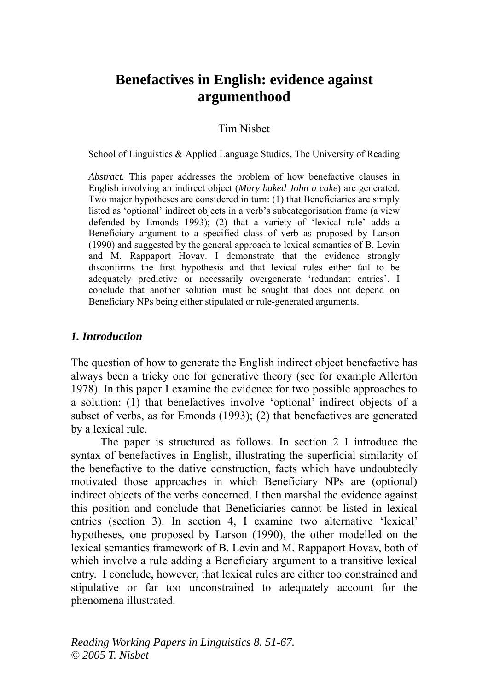# **Benefactives in English: evidence against argumenthood**

#### Tim Nisbet

School of Linguistics & Applied Language Studies, The University of Reading

*Abstract.* This paper addresses the problem of how benefactive clauses in English involving an indirect object (*Mary baked John a cake*) are generated. Two major hypotheses are considered in turn: (1) that Beneficiaries are simply listed as 'optional' indirect objects in a verb's subcategorisation frame (a view defended by Emonds 1993); (2) that a variety of 'lexical rule' adds a Beneficiary argument to a specified class of verb as proposed by Larson (1990) and suggested by the general approach to lexical semantics of B. Levin and M. Rappaport Hovav. I demonstrate that the evidence strongly disconfirms the first hypothesis and that lexical rules either fail to be adequately predictive or necessarily overgenerate 'redundant entries'. I conclude that another solution must be sought that does not depend on Beneficiary NPs being either stipulated or rule-generated arguments.

#### *1. Introduction*

The question of how to generate the English indirect object benefactive has always been a tricky one for generative theory (see for example Allerton 1978). In this paper I examine the evidence for two possible approaches to a solution: (1) that benefactives involve 'optional' indirect objects of a subset of verbs, as for Emonds (1993); (2) that benefactives are generated by a lexical rule.

The paper is structured as follows. In section 2 I introduce the syntax of benefactives in English, illustrating the superficial similarity of the benefactive to the dative construction, facts which have undoubtedly motivated those approaches in which Beneficiary NPs are (optional) indirect objects of the verbs concerned. I then marshal the evidence against this position and conclude that Beneficiaries cannot be listed in lexical entries (section 3). In section 4, I examine two alternative 'lexical' hypotheses, one proposed by Larson (1990), the other modelled on the lexical semantics framework of B. Levin and M. Rappaport Hovav, both of which involve a rule adding a Beneficiary argument to a transitive lexical entry. I conclude, however, that lexical rules are either too constrained and stipulative or far too unconstrained to adequately account for the phenomena illustrated.

*Reading Working Papers in Linguistics 8. 51-67. © 2005 T. Nisbet*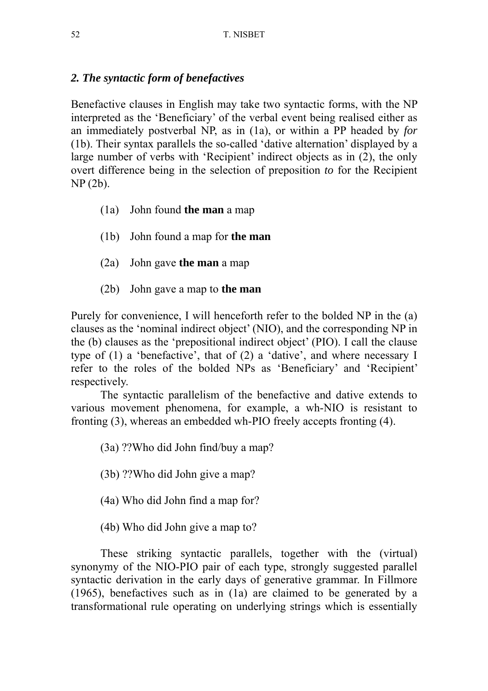## *2. The syntactic form of benefactives*

Benefactive clauses in English may take two syntactic forms, with the NP interpreted as the 'Beneficiary' of the verbal event being realised either as an immediately postverbal NP, as in (1a), or within a PP headed by *for* (1b). Their syntax parallels the so-called 'dative alternation' displayed by a large number of verbs with 'Recipient' indirect objects as in (2), the only overt difference being in the selection of preposition *to* for the Recipient NP (2b).

- (1a) John found **the man** a map
- (1b) John found a map for **the man**
- (2a) John gave **the man** a map
- (2b) John gave a map to **the man**

Purely for convenience, I will henceforth refer to the bolded NP in the (a) clauses as the 'nominal indirect object' (NIO), and the corresponding NP in the (b) clauses as the 'prepositional indirect object' (PIO). I call the clause type of (1) a 'benefactive', that of (2) a 'dative', and where necessary I refer to the roles of the bolded NPs as 'Beneficiary' and 'Recipient' respectively.

The syntactic parallelism of the benefactive and dative extends to various movement phenomena, for example, a wh-NIO is resistant to fronting (3), whereas an embedded wh-PIO freely accepts fronting (4).

(3a) ??Who did John find/buy a map?

- (3b) ??Who did John give a map?
- (4a) Who did John find a map for?
- (4b) Who did John give a map to?

These striking syntactic parallels, together with the (virtual) synonymy of the NIO-PIO pair of each type, strongly suggested parallel syntactic derivation in the early days of generative grammar. In Fillmore (1965), benefactives such as in (1a) are claimed to be generated by a transformational rule operating on underlying strings which is essentially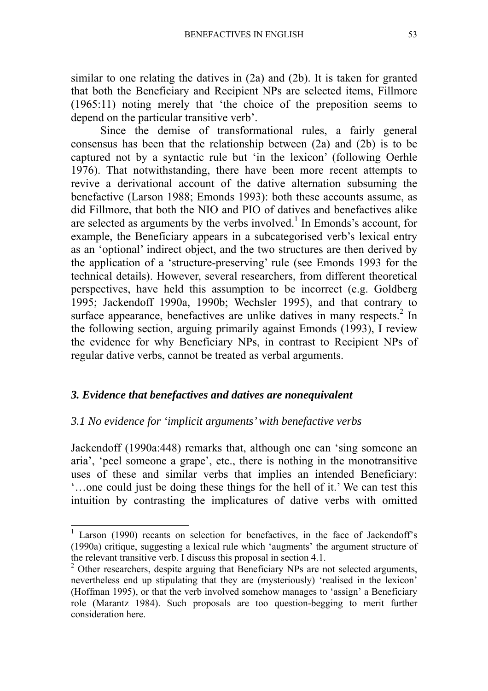similar to one relating the datives in (2a) and (2b). It is taken for granted that both the Beneficiary and Recipient NPs are selected items, Fillmore (1965:11) noting merely that 'the choice of the preposition seems to depend on the particular transitive verb'.

Since the demise of transformational rules, a fairly general consensus has been that the relationship between (2a) and (2b) is to be captured not by a syntactic rule but 'in the lexicon' (following Oerhle 1976). That notwithstanding, there have been more recent attempts to revive a derivational account of the dative alternation subsuming the benefactive (Larson 1988; Emonds 1993): both these accounts assume, as did Fillmore, that both the NIO and PIO of datives and benefactives alike are selected as arguments by the verbs involved.<sup>1</sup> In Emonds's account, for example, the Beneficiary appears in a subcategorised verb's lexical entry as an 'optional' indirect object, and the two structures are then derived by the application of a 'structure-preserving' rule (see Emonds 1993 for the technical details). However, several researchers, from different theoretical perspectives, have held this assumption to be incorrect (e.g. Goldberg 1995; Jackendoff 1990a, 1990b; Wechsler 1995), and that contrary to surface appearance, benefactives are unlike datives in many respects.<sup>2</sup> In the following section, arguing primarily against Emonds (1993), I review the evidence for why Beneficiary NPs, in contrast to Recipient NPs of regular dative verbs, cannot be treated as verbal arguments.

## *3. Evidence that benefactives and datives are nonequivalent*

#### *3.1 No evidence for 'implicit arguments' with benefactive verbs*

Jackendoff (1990a:448) remarks that, although one can 'sing someone an aria', 'peel someone a grape', etc., there is nothing in the monotransitive uses of these and similar verbs that implies an intended Beneficiary: '…one could just be doing these things for the hell of it.' We can test this intuition by contrasting the implicatures of dative verbs with omitted

<sup>&</sup>lt;sup>1</sup> Larson (1990) recants on selection for benefactives, in the face of Jackendoff's (1990a) critique, suggesting a lexical rule which 'augments' the argument structure of the relevant transitive verb. I discuss this proposal in section 4.1.

<sup>&</sup>lt;sup>2</sup> Other researchers, despite arguing that Beneficiary NPs are not selected arguments, nevertheless end up stipulating that they are (mysteriously) 'realised in the lexicon' (Hoffman 1995), or that the verb involved somehow manages to 'assign' a Beneficiary role (Marantz 1984). Such proposals are too question-begging to merit further consideration here.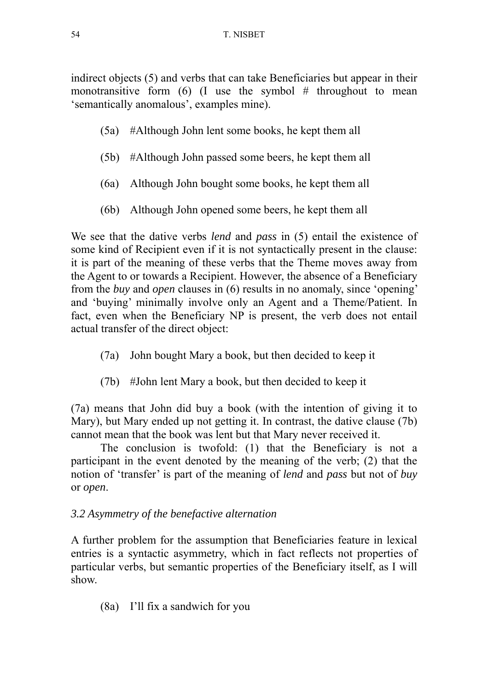indirect objects (5) and verbs that can take Beneficiaries but appear in their monotransitive form  $(6)$  (I use the symbol # throughout to mean 'semantically anomalous', examples mine).

- (5a) #Although John lent some books, he kept them all
- (5b) #Although John passed some beers, he kept them all
- (6a) Although John bought some books, he kept them all
- (6b) Although John opened some beers, he kept them all

We see that the dative verbs *lend* and *pass* in (5) entail the existence of some kind of Recipient even if it is not syntactically present in the clause: it is part of the meaning of these verbs that the Theme moves away from the Agent to or towards a Recipient. However, the absence of a Beneficiary from the *buy* and *open* clauses in (6) results in no anomaly, since 'opening' and 'buying' minimally involve only an Agent and a Theme/Patient. In fact, even when the Beneficiary NP is present, the verb does not entail actual transfer of the direct object:

- (7a) John bought Mary a book, but then decided to keep it
- (7b) #John lent Mary a book, but then decided to keep it

(7a) means that John did buy a book (with the intention of giving it to Mary), but Mary ended up not getting it. In contrast, the dative clause (7b) cannot mean that the book was lent but that Mary never received it.

The conclusion is twofold: (1) that the Beneficiary is not a participant in the event denoted by the meaning of the verb; (2) that the notion of 'transfer' is part of the meaning of *lend* and *pass* but not of *buy*  or *open*.

# *3.2 Asymmetry of the benefactive alternation*

A further problem for the assumption that Beneficiaries feature in lexical entries is a syntactic asymmetry, which in fact reflects not properties of particular verbs, but semantic properties of the Beneficiary itself, as I will show.

(8a) I'll fix a sandwich for you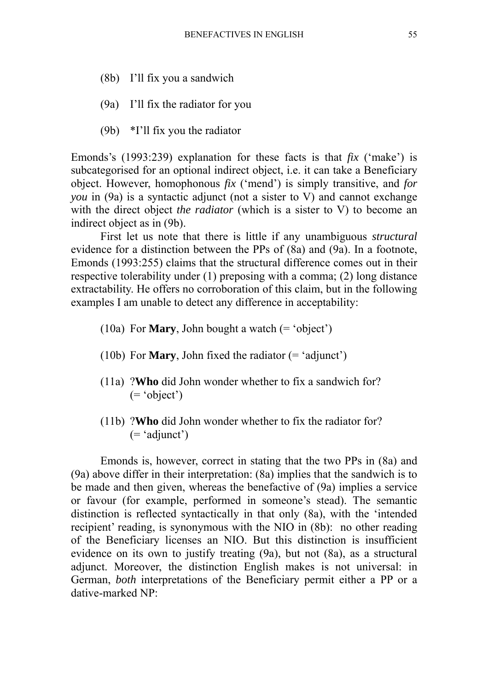- (8b) I'll fix you a sandwich
- (9a) I'll fix the radiator for you
- (9b) \*I'll fix you the radiator

Emonds's (1993:239) explanation for these facts is that *fix* ('make') is subcategorised for an optional indirect object, i.e. it can take a Beneficiary object. However, homophonous *fix* ('mend') is simply transitive, and *for you* in (9a) is a syntactic adjunct (not a sister to V) and cannot exchange with the direct object *the radiator* (which is a sister to V) to become an indirect object as in (9b).

 First let us note that there is little if any unambiguous *structural*  evidence for a distinction between the PPs of (8a) and (9a). In a footnote, Emonds (1993:255) claims that the structural difference comes out in their respective tolerability under (1) preposing with a comma; (2) long distance extractability. He offers no corroboration of this claim, but in the following examples I am unable to detect any difference in acceptability:

- (10a) For **Mary**, John bought a watch (= 'object')
- (10b) For **Mary**, John fixed the radiator (= 'adjunct')
- (11a) ?**Who** did John wonder whether to fix a sandwich for? (= 'object')
- (11b) ?**Who** did John wonder whether to fix the radiator for?  $($  = 'adjunct')

 Emonds is, however, correct in stating that the two PPs in (8a) and (9a) above differ in their interpretation: (8a) implies that the sandwich is to be made and then given, whereas the benefactive of (9a) implies a service or favour (for example, performed in someone's stead). The semantic distinction is reflected syntactically in that only (8a), with the 'intended recipient' reading, is synonymous with the NIO in (8b): no other reading of the Beneficiary licenses an NIO. But this distinction is insufficient evidence on its own to justify treating (9a), but not (8a), as a structural adjunct. Moreover, the distinction English makes is not universal: in German, *both* interpretations of the Beneficiary permit either a PP or a dative-marked NP: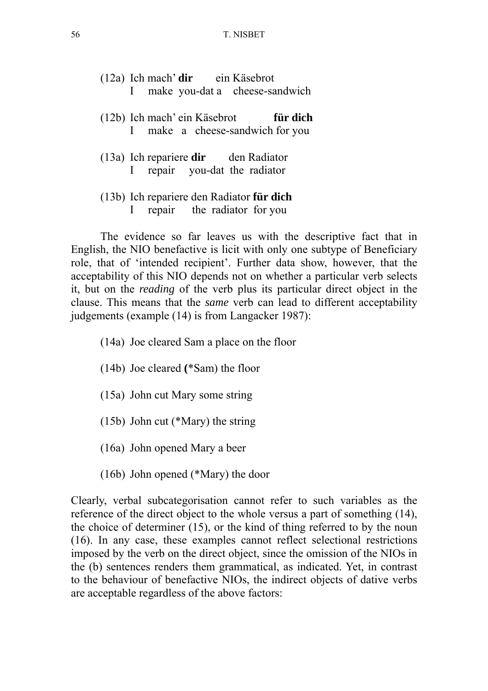|  | $(12a)$ Ich mach' dir ein Käsebrot                                      |  |          |  |
|--|-------------------------------------------------------------------------|--|----------|--|
|  | I make you-dat a cheese-sandwich                                        |  |          |  |
|  | (12b) Ich mach' ein Käsebrot<br>I make a cheese-sandwich for you        |  | für dich |  |
|  | $(13a)$ Ich repariere dir den Radiator<br>I repair you-dat the radiator |  |          |  |
|  | (13b) Ich repariere den Radiator für dich                               |  |          |  |

I repair the radiator for you

 The evidence so far leaves us with the descriptive fact that in English, the NIO benefactive is licit with only one subtype of Beneficiary role, that of 'intended recipient'. Further data show, however, that the acceptability of this NIO depends not on whether a particular verb selects it, but on the *reading* of the verb plus its particular direct object in the clause. This means that the *same* verb can lead to different acceptability judgements (example (14) is from Langacker 1987):

- (14a) Joe cleared Sam a place on the floor
- (14b) Joe cleared **(**\*Sam) the floor
- (15a) John cut Mary some string
- (15b) John cut (\*Mary) the string
- (16a) John opened Mary a beer
- (16b) John opened (\*Mary) the door

Clearly, verbal subcategorisation cannot refer to such variables as the reference of the direct object to the whole versus a part of something (14), the choice of determiner (15), or the kind of thing referred to by the noun (16). In any case, these examples cannot reflect selectional restrictions imposed by the verb on the direct object, since the omission of the NIOs in the (b) sentences renders them grammatical, as indicated. Yet, in contrast to the behaviour of benefactive NIOs, the indirect objects of dative verbs are acceptable regardless of the above factors: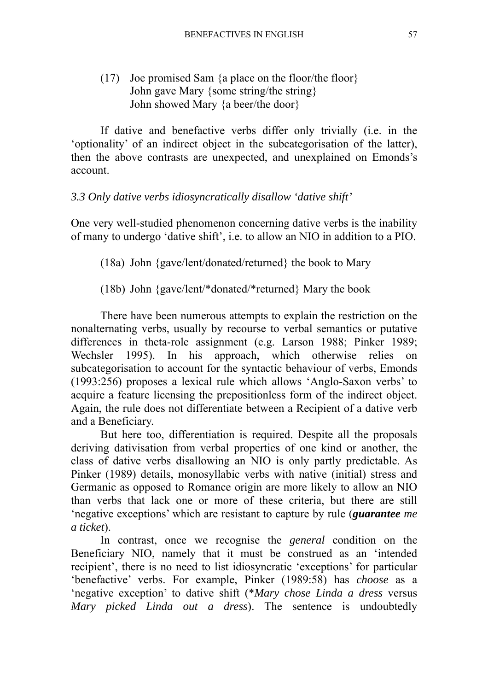## (17) Joe promised Sam {a place on the floor/the floor} John gave Mary {some string/the string} John showed Mary {a beer/the door}

If dative and benefactive verbs differ only trivially (i.e. in the 'optionality' of an indirect object in the subcategorisation of the latter), then the above contrasts are unexpected, and unexplained on Emonds's account.

## *3.3 Only dative verbs idiosyncratically disallow 'dative shift'*

One very well-studied phenomenon concerning dative verbs is the inability of many to undergo 'dative shift', i.e. to allow an NIO in addition to a PIO.

(18a) John {gave/lent/donated/returned} the book to Mary

(18b) John {gave/lent/\*donated/\*returned} Mary the book

There have been numerous attempts to explain the restriction on the nonalternating verbs, usually by recourse to verbal semantics or putative differences in theta-role assignment (e.g. Larson 1988; Pinker 1989; Wechsler 1995). In his approach, which otherwise relies on subcategorisation to account for the syntactic behaviour of verbs, Emonds (1993:256) proposes a lexical rule which allows 'Anglo-Saxon verbs' to acquire a feature licensing the prepositionless form of the indirect object. Again, the rule does not differentiate between a Recipient of a dative verb and a Beneficiary.

But here too, differentiation is required. Despite all the proposals deriving dativisation from verbal properties of one kind or another, the class of dative verbs disallowing an NIO is only partly predictable. As Pinker (1989) details, monosyllabic verbs with native (initial) stress and Germanic as opposed to Romance origin are more likely to allow an NIO than verbs that lack one or more of these criteria, but there are still 'negative exceptions' which are resistant to capture by rule (*guarantee me a ticket*).

In contrast, once we recognise the *general* condition on the Beneficiary NIO, namely that it must be construed as an 'intended recipient', there is no need to list idiosyncratic 'exceptions' for particular 'benefactive' verbs. For example, Pinker (1989:58) has *choose* as a 'negative exception' to dative shift (\**Mary chose Linda a dress* versus *Mary picked Linda out a dress*). The sentence is undoubtedly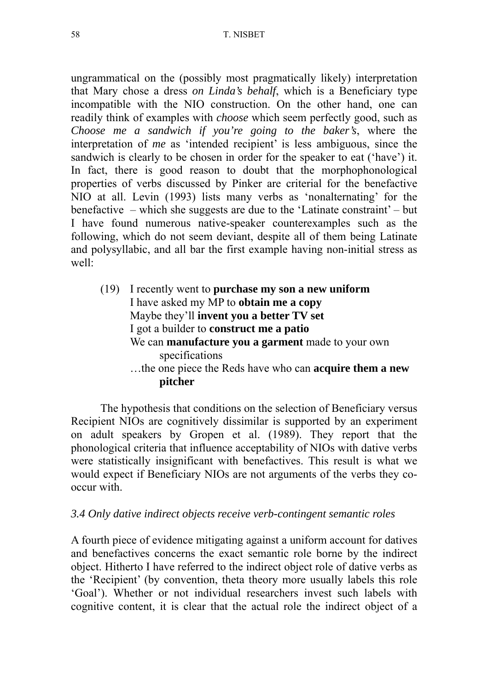ungrammatical on the (possibly most pragmatically likely) interpretation that Mary chose a dress *on Linda's behalf*, which is a Beneficiary type incompatible with the NIO construction. On the other hand, one can readily think of examples with *choose* which seem perfectly good, such as *Choose me a sandwich if you're going to the baker's*, where the interpretation of *me* as 'intended recipient' is less ambiguous, since the sandwich is clearly to be chosen in order for the speaker to eat ('have') it. In fact, there is good reason to doubt that the morphophonological properties of verbs discussed by Pinker are criterial for the benefactive NIO at all. Levin (1993) lists many verbs as 'nonalternating' for the benefactive – which she suggests are due to the 'Latinate constraint' – but I have found numerous native-speaker counterexamples such as the following, which do not seem deviant, despite all of them being Latinate and polysyllabic, and all bar the first example having non-initial stress as well:

(19) I recently went to **purchase my son a new uniform** I have asked my MP to **obtain me a copy** Maybe they'll **invent you a better TV set** I got a builder to **construct me a patio** We can **manufacture you a garment** made to your own specifications …the one piece the Reds have who can **acquire them a new pitcher** 

The hypothesis that conditions on the selection of Beneficiary versus Recipient NIOs are cognitively dissimilar is supported by an experiment on adult speakers by Gropen et al. (1989). They report that the phonological criteria that influence acceptability of NIOs with dative verbs were statistically insignificant with benefactives. This result is what we would expect if Beneficiary NIOs are not arguments of the verbs they cooccur with.

#### *3.4 Only dative indirect objects receive verb-contingent semantic roles*

A fourth piece of evidence mitigating against a uniform account for datives and benefactives concerns the exact semantic role borne by the indirect object. Hitherto I have referred to the indirect object role of dative verbs as the 'Recipient' (by convention, theta theory more usually labels this role 'Goal'). Whether or not individual researchers invest such labels with cognitive content, it is clear that the actual role the indirect object of a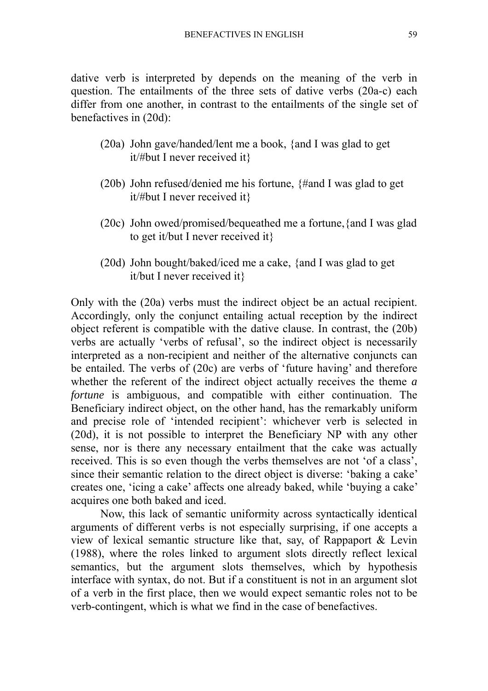dative verb is interpreted by depends on the meaning of the verb in question. The entailments of the three sets of dative verbs (20a-c) each differ from one another, in contrast to the entailments of the single set of benefactives in (20d):

- (20a) John gave/handed/lent me a book, {and I was glad to get it/#but I never received it}
- (20b) John refused/denied me his fortune, {#and I was glad to get it/#but I never received it}
- (20c) John owed/promised/bequeathed me a fortune,{and I was glad to get it/but I never received it}
- (20d) John bought/baked/iced me a cake, {and I was glad to get it/but I never received it}

Only with the (20a) verbs must the indirect object be an actual recipient. Accordingly, only the conjunct entailing actual reception by the indirect object referent is compatible with the dative clause. In contrast, the (20b) verbs are actually 'verbs of refusal', so the indirect object is necessarily interpreted as a non-recipient and neither of the alternative conjuncts can be entailed. The verbs of (20c) are verbs of 'future having' and therefore whether the referent of the indirect object actually receives the theme *a fortune* is ambiguous, and compatible with either continuation. The Beneficiary indirect object, on the other hand, has the remarkably uniform and precise role of 'intended recipient': whichever verb is selected in (20d), it is not possible to interpret the Beneficiary NP with any other sense, nor is there any necessary entailment that the cake was actually received. This is so even though the verbs themselves are not 'of a class', since their semantic relation to the direct object is diverse: 'baking a cake' creates one, 'icing a cake' affects one already baked, while 'buying a cake' acquires one both baked and iced.

Now, this lack of semantic uniformity across syntactically identical arguments of different verbs is not especially surprising, if one accepts a view of lexical semantic structure like that, say, of Rappaport & Levin (1988), where the roles linked to argument slots directly reflect lexical semantics, but the argument slots themselves, which by hypothesis interface with syntax, do not. But if a constituent is not in an argument slot of a verb in the first place, then we would expect semantic roles not to be verb-contingent, which is what we find in the case of benefactives.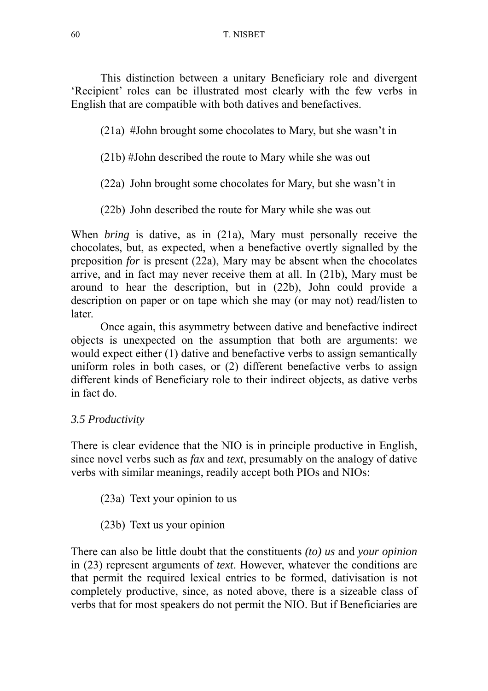This distinction between a unitary Beneficiary role and divergent 'Recipient' roles can be illustrated most clearly with the few verbs in English that are compatible with both datives and benefactives.

(21a) #John brought some chocolates to Mary, but she wasn't in

(21b) #John described the route to Mary while she was out

(22a) John brought some chocolates for Mary, but she wasn't in

(22b) John described the route for Mary while she was out

When *bring* is dative, as in (21a), Mary must personally receive the chocolates, but, as expected, when a benefactive overtly signalled by the preposition *for* is present (22a), Mary may be absent when the chocolates arrive, and in fact may never receive them at all. In (21b), Mary must be around to hear the description, but in (22b), John could provide a description on paper or on tape which she may (or may not) read/listen to later.

Once again, this asymmetry between dative and benefactive indirect objects is unexpected on the assumption that both are arguments: we would expect either (1) dative and benefactive verbs to assign semantically uniform roles in both cases, or (2) different benefactive verbs to assign different kinds of Beneficiary role to their indirect objects, as dative verbs in fact do.

# *3.5 Productivity*

There is clear evidence that the NIO is in principle productive in English, since novel verbs such as *fax* and *text*, presumably on the analogy of dative verbs with similar meanings, readily accept both PIOs and NIOs:

(23a) Text your opinion to us

(23b) Text us your opinion

There can also be little doubt that the constituents *(to) us* and *your opinion* in (23) represent arguments of *text*. However, whatever the conditions are that permit the required lexical entries to be formed, dativisation is not completely productive, since, as noted above, there is a sizeable class of verbs that for most speakers do not permit the NIO. But if Beneficiaries are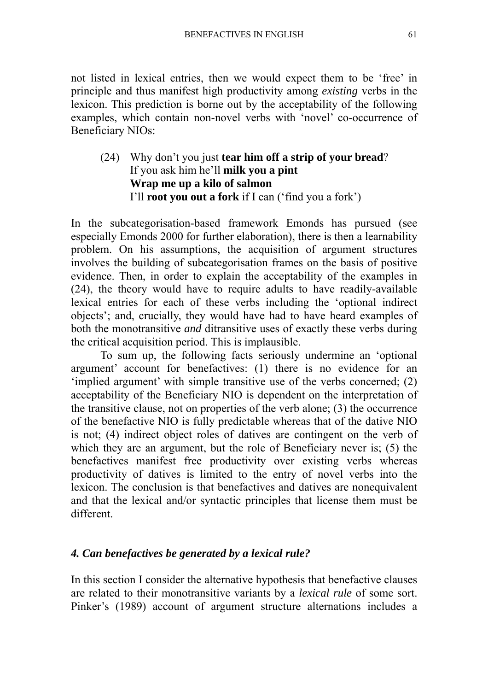not listed in lexical entries, then we would expect them to be 'free' in principle and thus manifest high productivity among *existing* verbs in the lexicon. This prediction is borne out by the acceptability of the following examples, which contain non-novel verbs with 'novel' co-occurrence of Beneficiary NIOs:

(24) Why don't you just **tear him off a strip of your bread**? If you ask him he'll **milk you a pint Wrap me up a kilo of salmon**  I'll **root you out a fork** if I can ('find you a fork')

In the subcategorisation-based framework Emonds has pursued (see especially Emonds 2000 for further elaboration), there is then a learnability problem. On his assumptions, the acquisition of argument structures involves the building of subcategorisation frames on the basis of positive evidence. Then, in order to explain the acceptability of the examples in (24), the theory would have to require adults to have readily-available lexical entries for each of these verbs including the 'optional indirect objects'; and, crucially, they would have had to have heard examples of both the monotransitive *and* ditransitive uses of exactly these verbs during the critical acquisition period. This is implausible.

To sum up, the following facts seriously undermine an 'optional argument' account for benefactives: (1) there is no evidence for an 'implied argument' with simple transitive use of the verbs concerned; (2) acceptability of the Beneficiary NIO is dependent on the interpretation of the transitive clause, not on properties of the verb alone; (3) the occurrence of the benefactive NIO is fully predictable whereas that of the dative NIO is not; (4) indirect object roles of datives are contingent on the verb of which they are an argument, but the role of Beneficiary never is; (5) the benefactives manifest free productivity over existing verbs whereas productivity of datives is limited to the entry of novel verbs into the lexicon. The conclusion is that benefactives and datives are nonequivalent and that the lexical and/or syntactic principles that license them must be different.

## *4. Can benefactives be generated by a lexical rule?*

In this section I consider the alternative hypothesis that benefactive clauses are related to their monotransitive variants by a *lexical rule* of some sort. Pinker's (1989) account of argument structure alternations includes a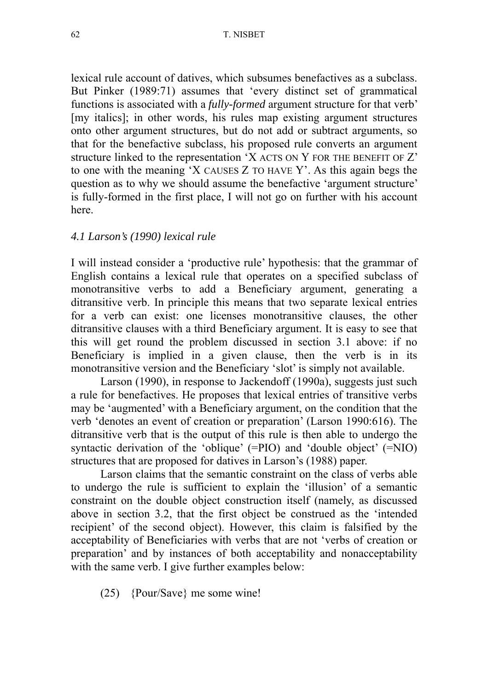lexical rule account of datives, which subsumes benefactives as a subclass. But Pinker (1989:71) assumes that 'every distinct set of grammatical functions is associated with a *fully-formed* argument structure for that verb' [my italics]; in other words, his rules map existing argument structures onto other argument structures, but do not add or subtract arguments, so that for the benefactive subclass, his proposed rule converts an argument structure linked to the representation 'X ACTS ON Y FOR THE BENEFIT OF Z' to one with the meaning 'X CAUSES Z TO HAVE Y'. As this again begs the question as to why we should assume the benefactive 'argument structure' is fully-formed in the first place, I will not go on further with his account here.

## *4.1 Larson's (1990) lexical rule*

I will instead consider a 'productive rule' hypothesis: that the grammar of English contains a lexical rule that operates on a specified subclass of monotransitive verbs to add a Beneficiary argument, generating a ditransitive verb. In principle this means that two separate lexical entries for a verb can exist: one licenses monotransitive clauses, the other ditransitive clauses with a third Beneficiary argument. It is easy to see that this will get round the problem discussed in section 3.1 above: if no Beneficiary is implied in a given clause, then the verb is in its monotransitive version and the Beneficiary 'slot' is simply not available.

Larson (1990), in response to Jackendoff (1990a), suggests just such a rule for benefactives. He proposes that lexical entries of transitive verbs may be 'augmented' with a Beneficiary argument, on the condition that the verb 'denotes an event of creation or preparation' (Larson 1990:616). The ditransitive verb that is the output of this rule is then able to undergo the syntactic derivation of the 'oblique' (=PIO) and 'double object' (=NIO) structures that are proposed for datives in Larson's (1988) paper.

Larson claims that the semantic constraint on the class of verbs able to undergo the rule is sufficient to explain the 'illusion' of a semantic constraint on the double object construction itself (namely, as discussed above in section 3.2, that the first object be construed as the 'intended recipient' of the second object). However, this claim is falsified by the acceptability of Beneficiaries with verbs that are not 'verbs of creation or preparation' and by instances of both acceptability and nonacceptability with the same verb. I give further examples below:

(25) {Pour/Save} me some wine!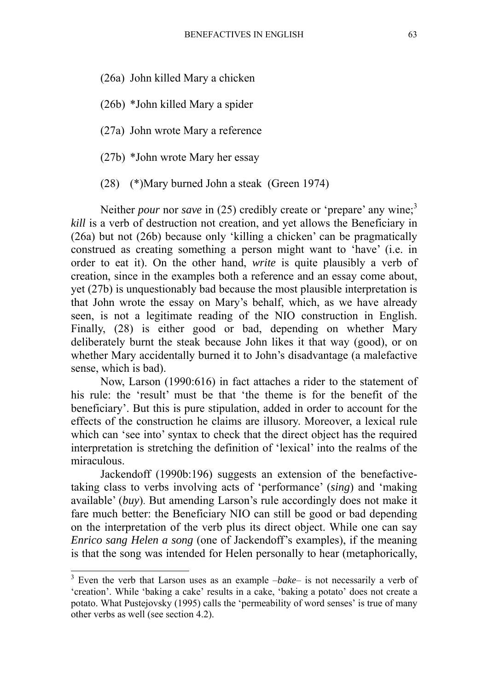(26a) John killed Mary a chicken

(26b) \*John killed Mary a spider

(27a) John wrote Mary a reference

(27b) \*John wrote Mary her essay

(28) (\*)Mary burned John a steak (Green 1974)

Neither *pour* nor *save* in (25) credibly create or 'prepare' any wine;<sup>3</sup> *kill* is a verb of destruction not creation, and yet allows the Beneficiary in (26a) but not (26b) because only 'killing a chicken' can be pragmatically construed as creating something a person might want to 'have' (i.e. in order to eat it). On the other hand, *write* is quite plausibly a verb of creation, since in the examples both a reference and an essay come about, yet (27b) is unquestionably bad because the most plausible interpretation is that John wrote the essay on Mary's behalf, which, as we have already seen, is not a legitimate reading of the NIO construction in English. Finally, (28) is either good or bad, depending on whether Mary deliberately burnt the steak because John likes it that way (good), or on whether Mary accidentally burned it to John's disadvantage (a malefactive sense, which is bad).

Now, Larson (1990:616) in fact attaches a rider to the statement of his rule: the 'result' must be that 'the theme is for the benefit of the beneficiary'. But this is pure stipulation, added in order to account for the effects of the construction he claims are illusory. Moreover, a lexical rule which can 'see into' syntax to check that the direct object has the required interpretation is stretching the definition of 'lexical' into the realms of the miraculous.

Jackendoff (1990b:196) suggests an extension of the benefactivetaking class to verbs involving acts of 'performance' (*sing*) and 'making available' (*buy*). But amending Larson's rule accordingly does not make it fare much better: the Beneficiary NIO can still be good or bad depending on the interpretation of the verb plus its direct object. While one can say *Enrico sang Helen a song* (one of Jackendoff's examples), if the meaning is that the song was intended for Helen personally to hear (metaphorically,

<sup>&</sup>lt;sup>3</sup> Even the verb that Larson uses as an example *-bake*- is not necessarily a verb of 'creation'. While 'baking a cake' results in a cake, 'baking a potato' does not create a potato. What Pustejovsky (1995) calls the 'permeability of word senses' is true of many other verbs as well (see section 4.2).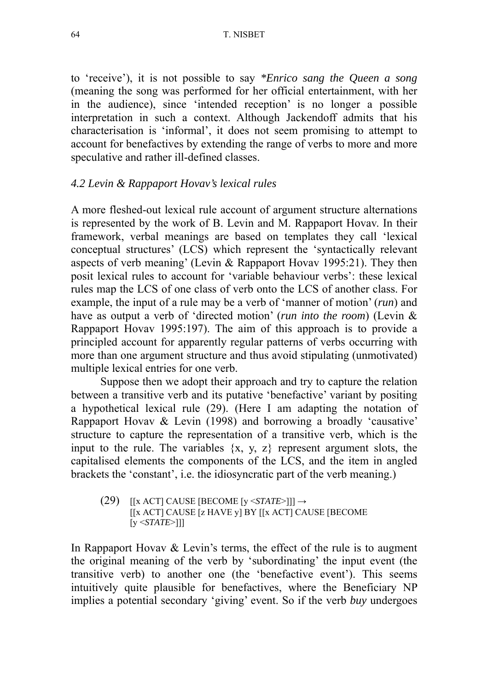64 T. NISBET

to 'receive'), it is not possible to say *\*Enrico sang the Queen a song* (meaning the song was performed for her official entertainment, with her in the audience), since 'intended reception' is no longer a possible interpretation in such a context. Although Jackendoff admits that his characterisation is 'informal', it does not seem promising to attempt to account for benefactives by extending the range of verbs to more and more speculative and rather ill-defined classes.

### *4.2 Levin & Rappaport Hovav's lexical rules*

A more fleshed-out lexical rule account of argument structure alternations is represented by the work of B. Levin and M. Rappaport Hovav. In their framework, verbal meanings are based on templates they call 'lexical conceptual structures' (LCS) which represent the 'syntactically relevant aspects of verb meaning' (Levin & Rappaport Hovav 1995:21). They then posit lexical rules to account for 'variable behaviour verbs': these lexical rules map the LCS of one class of verb onto the LCS of another class. For example, the input of a rule may be a verb of 'manner of motion' (*run*) and have as output a verb of 'directed motion' (*run into the room*) (Levin & Rappaport Hovav 1995:197). The aim of this approach is to provide a principled account for apparently regular patterns of verbs occurring with more than one argument structure and thus avoid stipulating (unmotivated) multiple lexical entries for one verb.

Suppose then we adopt their approach and try to capture the relation between a transitive verb and its putative 'benefactive' variant by positing a hypothetical lexical rule (29). (Here I am adapting the notation of Rappaport Hovav & Levin (1998) and borrowing a broadly 'causative' structure to capture the representation of a transitive verb, which is the input to the rule. The variables  $\{x, y, z\}$  represent argument slots, the capitalised elements the components of the LCS, and the item in angled brackets the 'constant', i.e. the idiosyncratic part of the verb meaning.)

(29)  $[[x \text{ ACT}] \text{ CAUSE} \text{ [BECOME } [y \text{ } \leq \text{STATE} \geq]]] \rightarrow$ [[x ACT] CAUSE [z HAVE y] BY [[x ACT] CAUSE [BECOME  $[y \leq STATE >]]$ 

In Rappaport Hovav & Levin's terms, the effect of the rule is to augment the original meaning of the verb by 'subordinating' the input event (the transitive verb) to another one (the 'benefactive event'). This seems intuitively quite plausible for benefactives, where the Beneficiary NP implies a potential secondary 'giving' event. So if the verb *buy* undergoes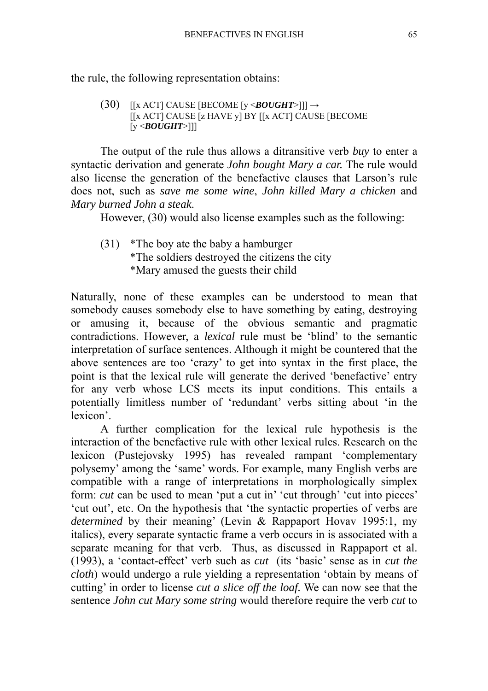the rule, the following representation obtains:

 $(30)$  [[x ACT] CAUSE [BECOME [y <**BOUGHT**>]]]  $\rightarrow$  [[x ACT] CAUSE [z HAVE y] BY [[x ACT] CAUSE [BECOME [y <*BOUGHT*>]]]

The output of the rule thus allows a ditransitive verb *buy* to enter a syntactic derivation and generate *John bought Mary a car.* The rule would also license the generation of the benefactive clauses that Larson's rule does not, such as *save me some wine*, *John killed Mary a chicken* and *Mary burned John a steak*.

However, (30) would also license examples such as the following:

 (31) \*The boy ate the baby a hamburger \*The soldiers destroyed the citizens the city \*Mary amused the guests their child

Naturally, none of these examples can be understood to mean that somebody causes somebody else to have something by eating, destroying or amusing it, because of the obvious semantic and pragmatic contradictions. However, a *lexical* rule must be 'blind' to the semantic interpretation of surface sentences. Although it might be countered that the above sentences are too 'crazy' to get into syntax in the first place, the point is that the lexical rule will generate the derived 'benefactive' entry for any verb whose LCS meets its input conditions. This entails a potentially limitless number of 'redundant' verbs sitting about 'in the lexicon'.

 A further complication for the lexical rule hypothesis is the interaction of the benefactive rule with other lexical rules. Research on the lexicon (Pustejovsky 1995) has revealed rampant 'complementary polysemy' among the 'same' words. For example, many English verbs are compatible with a range of interpretations in morphologically simplex form: *cut* can be used to mean 'put a cut in' 'cut through' 'cut into pieces' 'cut out', etc. On the hypothesis that 'the syntactic properties of verbs are *determined* by their meaning' (Levin & Rappaport Hovav 1995:1, my italics), every separate syntactic frame a verb occurs in is associated with a separate meaning for that verb. Thus, as discussed in Rappaport et al. (1993), a 'contact-effect' verb such as *cut* (its 'basic' sense as in *cut the cloth*) would undergo a rule yielding a representation 'obtain by means of cutting' in order to license *cut a slice off the loaf.* We can now see that the sentence *John cut Mary some string* would therefore require the verb *cut* to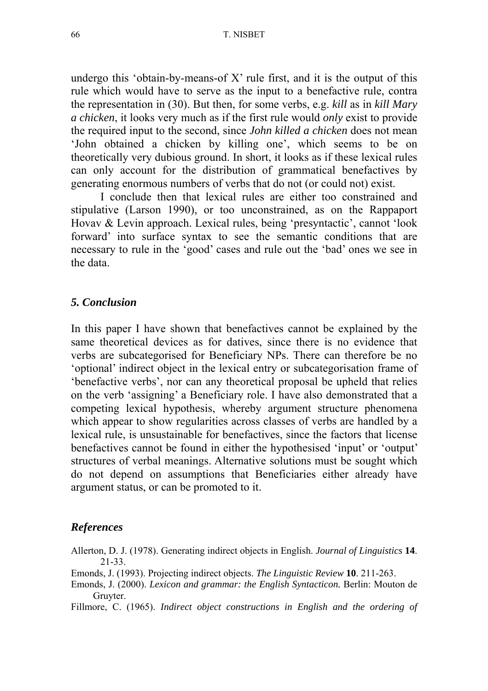undergo this 'obtain-by-means-of  $X$ ' rule first, and it is the output of this rule which would have to serve as the input to a benefactive rule, contra the representation in (30). But then, for some verbs, e.g. *kill* as in *kill Mary a chicken*, it looks very much as if the first rule would *only* exist to provide the required input to the second, since *John killed a chicken* does not mean 'John obtained a chicken by killing one', which seems to be on theoretically very dubious ground. In short, it looks as if these lexical rules can only account for the distribution of grammatical benefactives by generating enormous numbers of verbs that do not (or could not) exist.

 I conclude then that lexical rules are either too constrained and stipulative (Larson 1990), or too unconstrained, as on the Rappaport Hovav & Levin approach. Lexical rules, being 'presyntactic', cannot 'look forward' into surface syntax to see the semantic conditions that are necessary to rule in the 'good' cases and rule out the 'bad' ones we see in the data.

### *5. Conclusion*

In this paper I have shown that benefactives cannot be explained by the same theoretical devices as for datives, since there is no evidence that verbs are subcategorised for Beneficiary NPs. There can therefore be no 'optional' indirect object in the lexical entry or subcategorisation frame of 'benefactive verbs', nor can any theoretical proposal be upheld that relies on the verb 'assigning' a Beneficiary role. I have also demonstrated that a competing lexical hypothesis, whereby argument structure phenomena which appear to show regularities across classes of verbs are handled by a lexical rule, is unsustainable for benefactives, since the factors that license benefactives cannot be found in either the hypothesised 'input' or 'output' structures of verbal meanings. Alternative solutions must be sought which do not depend on assumptions that Beneficiaries either already have argument status, or can be promoted to it.

#### *References*

Allerton, D. J. (1978). Generating indirect objects in English. *Journal of Linguistics* **14**. 21-33.

Emonds, J. (1993). Projecting indirect objects. *The Linguistic Review* **10**. 211-263.

Emonds, J. (2000). *Lexicon and grammar: the English Syntacticon.* Berlin: Mouton de Gruyter.

Fillmore, C. (1965). *Indirect object constructions in English and the ordering of*